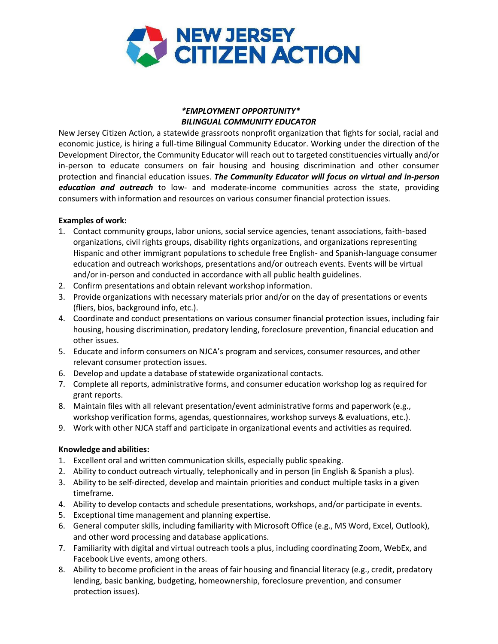

# *\*EMPLOYMENT OPPORTUNITY\* BILINGUAL COMMUNITY EDUCATOR*

New Jersey Citizen Action, a statewide grassroots nonprofit organization that fights for social, racial and economic justice, is hiring a full-time Bilingual Community Educator. Working under the direction of the Development Director, the Community Educator will reach out to targeted constituencies virtually and/or in-person to educate consumers on fair housing and housing discrimination and other consumer protection and financial education issues. *The Community Educator will focus on virtual and in-person education and outreach* to low- and moderate-income communities across the state, providing consumers with information and resources on various consumer financial protection issues.

## **Examples of work:**

- 1. Contact community groups, labor unions, social service agencies, tenant associations, faith-based organizations, civil rights groups, disability rights organizations, and organizations representing Hispanic and other immigrant populations to schedule free English- and Spanish-language consumer education and outreach workshops, presentations and/or outreach events. Events will be virtual and/or in-person and conducted in accordance with all public health guidelines.
- 2. Confirm presentations and obtain relevant workshop information.
- 3. Provide organizations with necessary materials prior and/or on the day of presentations or events (fliers, bios, background info, etc.).
- 4. Coordinate and conduct presentations on various consumer financial protection issues, including fair housing, housing discrimination, predatory lending, foreclosure prevention, financial education and other issues.
- 5. Educate and inform consumers on NJCA's program and services, consumer resources, and other relevant consumer protection issues.
- 6. Develop and update a database of statewide organizational contacts.
- 7. Complete all reports, administrative forms, and consumer education workshop log as required for grant reports.
- 8. Maintain files with all relevant presentation/event administrative forms and paperwork (e.g., workshop verification forms, agendas, questionnaires, workshop surveys & evaluations, etc.).
- 9. Work with other NJCA staff and participate in organizational events and activities as required.

## **Knowledge and abilities:**

- 1. Excellent oral and written communication skills, especially public speaking.
- 2. Ability to conduct outreach virtually, telephonically and in person (in English & Spanish a plus).
- 3. Ability to be self-directed, develop and maintain priorities and conduct multiple tasks in a given timeframe.
- 4. Ability to develop contacts and schedule presentations, workshops, and/or participate in events.
- 5. Exceptional time management and planning expertise.
- 6. General computer skills, including familiarity with Microsoft Office (e.g., MS Word, Excel, Outlook), and other word processing and database applications.
- 7. Familiarity with digital and virtual outreach tools a plus, including coordinating Zoom, WebEx, and Facebook Live events, among others.
- 8. Ability to become proficient in the areas of fair housing and financial literacy (e.g., credit, predatory lending, basic banking, budgeting, homeownership, foreclosure prevention, and consumer protection issues).